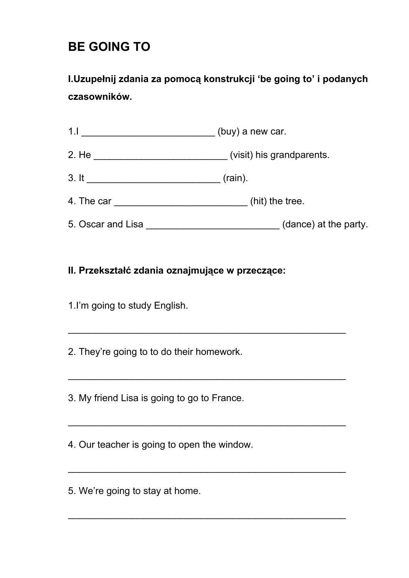# **BE GOING TO**

**I.Uzupełnij zdania za pomocą konstrukcji 'be going to' i podanych czasowników.**

| 1.1                                | (buy) a new car.          |  |  |  |  |
|------------------------------------|---------------------------|--|--|--|--|
| 2. He ____________________________ | (visit) his grandparents. |  |  |  |  |
| 3. It                              | $(rain)$ .                |  |  |  |  |
|                                    | (hit) the tree.           |  |  |  |  |
| 5. Oscar and Lisa                  | (dance) at the party.     |  |  |  |  |

\_\_\_\_\_\_\_\_\_\_\_\_\_\_\_\_\_\_\_\_\_\_\_\_\_\_\_\_\_\_\_\_\_\_\_\_\_\_\_\_\_\_\_\_\_\_\_\_\_\_\_\_

\_\_\_\_\_\_\_\_\_\_\_\_\_\_\_\_\_\_\_\_\_\_\_\_\_\_\_\_\_\_\_\_\_\_\_\_\_\_\_\_\_\_\_\_\_\_\_\_\_\_\_\_

\_\_\_\_\_\_\_\_\_\_\_\_\_\_\_\_\_\_\_\_\_\_\_\_\_\_\_\_\_\_\_\_\_\_\_\_\_\_\_\_\_\_\_\_\_\_\_\_\_\_\_\_

\_\_\_\_\_\_\_\_\_\_\_\_\_\_\_\_\_\_\_\_\_\_\_\_\_\_\_\_\_\_\_\_\_\_\_\_\_\_\_\_\_\_\_\_\_\_\_\_\_\_\_\_

 $\mathcal{L}_\text{max}$  , and the contract of the contract of the contract of the contract of the contract of the contract of the contract of the contract of the contract of the contract of the contract of the contract of the contr

#### **II. Przekształć zdania oznajmujące w przeczące:**

1.I'm going to study English.

2. They're going to to do their homework.

3. My friend Lisa is going to go to France.

4. Our teacher is going to open the window.

5. We're going to stay at home.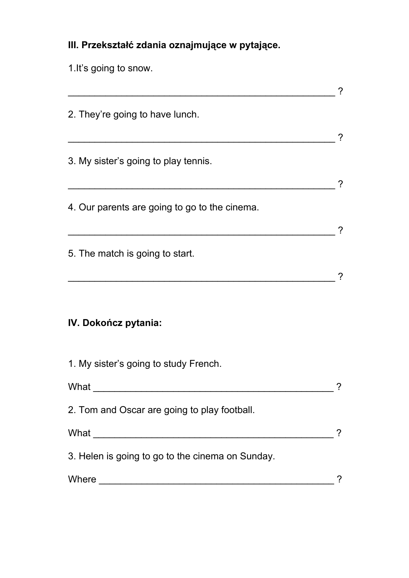## **III. Przekształć zdania oznajmujące w pytające.**

1.It's going to snow.

| 2. They're going to have lunch.                  |  |
|--------------------------------------------------|--|
| 3. My sister's going to play tennis.             |  |
| 4. Our parents are going to go to the cinema.    |  |
| 5. The match is going to start.                  |  |
| IV. Dokończ pytania:                             |  |
| 1. My sister's going to study French.            |  |
| What                                             |  |
| 2. Tom and Oscar are going to play football.     |  |
|                                                  |  |
| 3. Helen is going to go to the cinema on Sunday. |  |
|                                                  |  |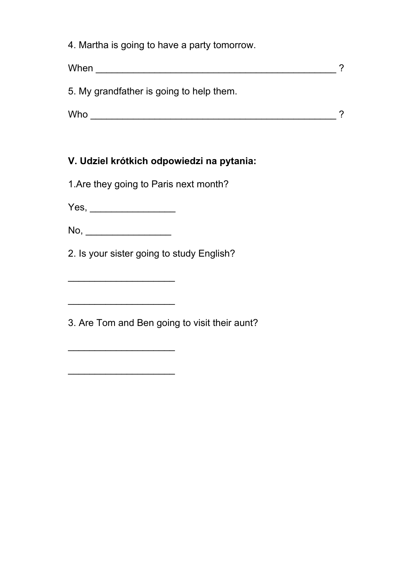|  |  |  |  | 4. Martha is going to have a party tomorrow. |
|--|--|--|--|----------------------------------------------|
|  |  |  |  |                                              |

| When                                     |  |
|------------------------------------------|--|
| 5. My grandfather is going to help them. |  |
| Who                                      |  |

### **V. Udziel krótkich odpowiedzi na pytania:**

1.Are they going to Paris next month?

Yes, \_\_\_\_\_\_\_\_\_\_\_\_\_\_\_\_

No, \_\_\_\_\_\_\_\_\_\_\_\_\_\_\_\_

\_\_\_\_\_\_\_\_\_\_\_\_\_\_\_\_\_\_\_\_

\_\_\_\_\_\_\_\_\_\_\_\_\_\_\_\_\_\_\_\_

\_\_\_\_\_\_\_\_\_\_\_\_\_\_\_\_\_\_\_\_

 $\overline{\phantom{a}}$  . The set of the set of the set of the set of the set of the set of the set of the set of the set of the set of the set of the set of the set of the set of the set of the set of the set of the set of the set o

2. Is your sister going to study English?

3. Are Tom and Ben going to visit their aunt?